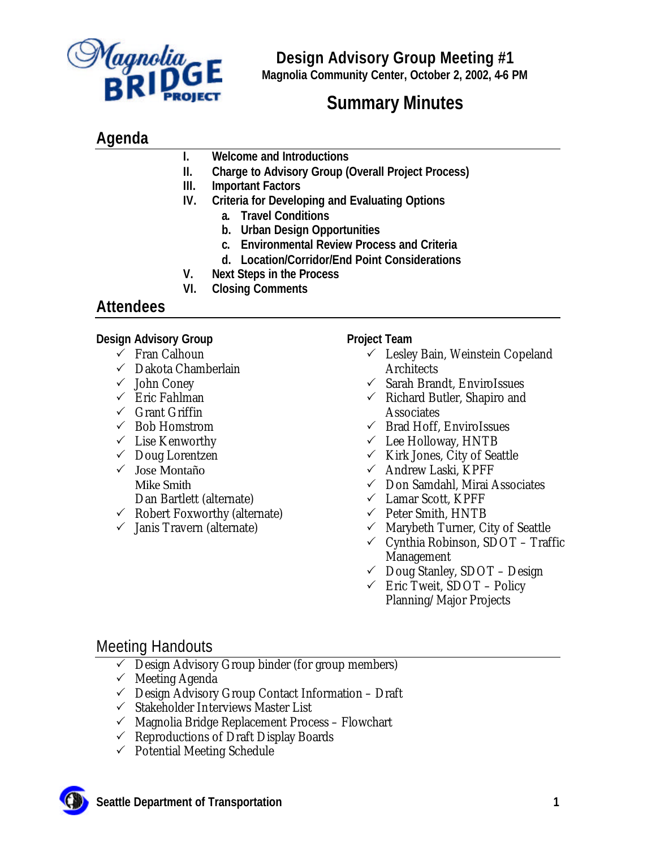

# **Summary Minutes**

## **Agenda**

**I. Welcome and Introductions**

- **II. Charge to Advisory Group (Overall Project Process)**
- **III. Important Factors**
- **IV. Criteria for Developing and Evaluating Options**
	- **a. Travel Conditions**
	- **b. Urban Design Opportunities**
	- **c. Environmental Review Process and Criteria**
	- **d. Location/Corridor/End Point Considerations**
- **V. Next Steps in the Process**
- **VI. Closing Comments**

## **Attendees**

## **Design Advisory Group**

- $\checkmark$  Fran Calhoun
- $\checkmark$  Dakota Chamberlain
- $\checkmark$  John Coney
- $\checkmark$  Eric Fahlman
- $\checkmark$  Grant Griffin
- $\checkmark$  Bob Homstrom
- $\checkmark$  Lise Kenworthy
- $\checkmark$  Doug Lorentzen
- $\checkmark$  Jose Montaño Mike Smith Dan Bartlett (alternate)
- $\checkmark$  Robert Foxworthy (alternate)
- $\checkmark$  Janis Travern (alternate)

## **Project Team**

- $\checkmark$  Lesley Bain, Weinstein Copeland Architects
- $\checkmark$  Sarah Brandt, EnviroIssues
- $\checkmark$  Richard Butler, Shapiro and Associates
- $\checkmark$  Brad Hoff, EnviroIssues
- $\checkmark$  Lee Holloway, HNTB
- $\checkmark$  Kirk Jones, City of Seattle
- $\checkmark$  Andrew Laski, KPFF
- $\checkmark$  Don Samdahl, Mirai Associates
- $\checkmark$  Lamar Scott, KPFF
- $\checkmark$  Peter Smith, HNTB
- $\checkmark$  Marybeth Turner, City of Seattle
- $\checkmark$  Cynthia Robinson, SDOT Traffic Management
- $\checkmark$  Doug Stanley, SDOT Design
- $\checkmark$  Eric Tweit, SDOT Policy Planning/Major Projects

## Meeting Handouts

- $\checkmark$  Design Advisory Group binder (for group members)
- $\checkmark$  Meeting Agenda
- $\checkmark$  Design Advisory Group Contact Information Draft
- $\checkmark$  Stakeholder Interviews Master List
- $\checkmark$  Magnolia Bridge Replacement Process Flowchart
- $\checkmark$  Reproductions of Draft Display Boards
- $\checkmark$  Potential Meeting Schedule

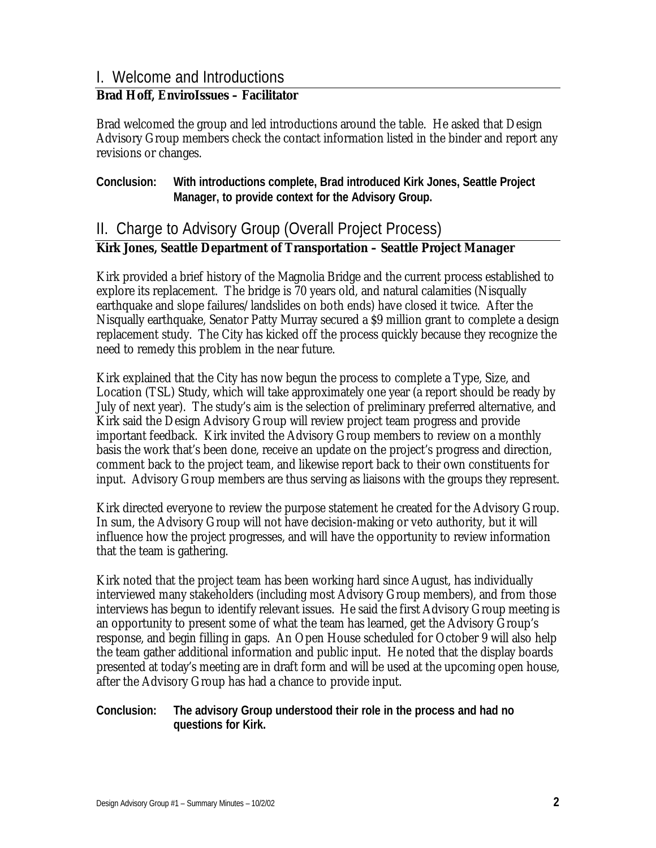## I. Welcome and Introductions

### **Brad Hoff, EnviroIssues – Facilitator**

Brad welcomed the group and led introductions around the table. He asked that Design Advisory Group members check the contact information listed in the binder and report any revisions or changes.

### **Conclusion: With introductions complete, Brad introduced Kirk Jones, Seattle Project Manager, to provide context for the Advisory Group.**

## II. Charge to Advisory Group (Overall Project Process)

### **Kirk Jones, Seattle Department of Transportation – Seattle Project Manager**

Kirk provided a brief history of the Magnolia Bridge and the current process established to explore its replacement. The bridge is 70 years old, and natural calamities (Nisqually earthquake and slope failures/landslides on both ends) have closed it twice. After the Nisqually earthquake, Senator Patty Murray secured a \$9 million grant to complete a design replacement study. The City has kicked off the process quickly because they recognize the need to remedy this problem in the near future.

Kirk explained that the City has now begun the process to complete a Type, Size, and Location (TSL) Study, which will take approximately one year (a report should be ready by July of next year). The study's aim is the selection of preliminary preferred alternative, and Kirk said the Design Advisory Group will review project team progress and provide important feedback. Kirk invited the Advisory Group members to review on a monthly basis the work that's been done, receive an update on the project's progress and direction, comment back to the project team, and likewise report back to their own constituents for input. Advisory Group members are thus serving as liaisons with the groups they represent.

Kirk directed everyone to review the purpose statement he created for the Advisory Group. In sum, the Advisory Group will not have decision-making or veto authority, but it will influence how the project progresses, and will have the opportunity to review information that the team is gathering.

Kirk noted that the project team has been working hard since August, has individually interviewed many stakeholders (including most Advisory Group members), and from those interviews has begun to identify relevant issues. He said the first Advisory Group meeting is an opportunity to present some of what the team has learned, get the Advisory Group's response, and begin filling in gaps. An Open House scheduled for October 9 will also help the team gather additional information and public input. He noted that the display boards presented at today's meeting are in draft form and will be used at the upcoming open house, after the Advisory Group has had a chance to provide input.

#### **Conclusion: The advisory Group understood their role in the process and had no questions for Kirk.**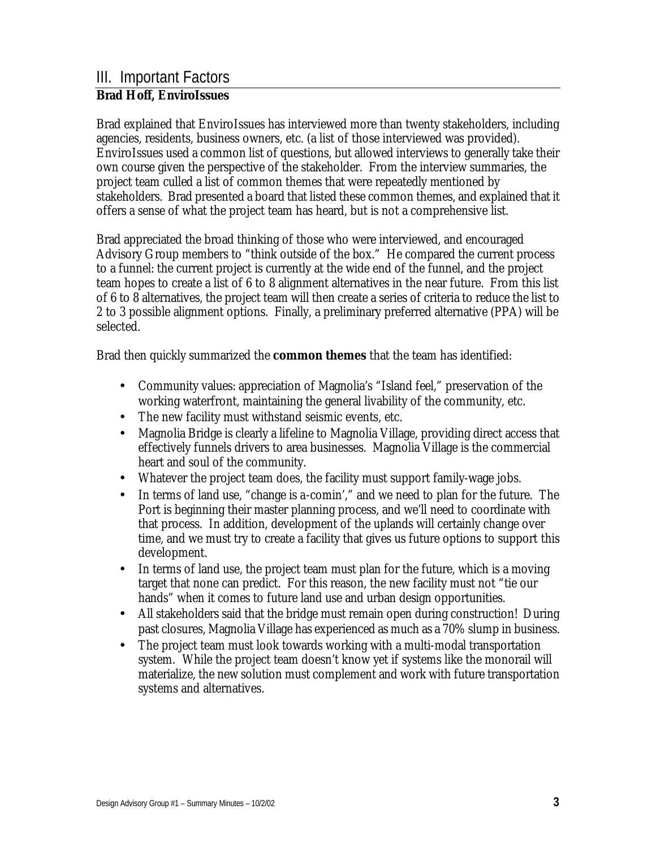### III. Important Factors **Brad Hoff, EnviroIssues**

Brad explained that EnviroIssues has interviewed more than twenty stakeholders, including agencies, residents, business owners, etc. (a list of those interviewed was provided). EnviroIssues used a common list of questions, but allowed interviews to generally take their own course given the perspective of the stakeholder. From the interview summaries, the project team culled a list of common themes that were repeatedly mentioned by stakeholders. Brad presented a board that listed these common themes, and explained that it offers a sense of what the project team has heard, but is not a comprehensive list.

Brad appreciated the broad thinking of those who were interviewed, and encouraged Advisory Group members to "think outside of the box." He compared the current process to a funnel: the current project is currently at the wide end of the funnel, and the project team hopes to create a list of 6 to 8 alignment alternatives in the near future. From this list of 6 to 8 alternatives, the project team will then create a series of criteria to reduce the list to 2 to 3 possible alignment options. Finally, a preliminary preferred alternative (PPA) will be selected.

Brad then quickly summarized the **common themes** that the team has identified:

- Community values: appreciation of Magnolia's "Island feel," preservation of the working waterfront, maintaining the general livability of the community, etc.
- The new facility must withstand seismic events, etc.
- Magnolia Bridge is clearly a lifeline to Magnolia Village, providing direct access that effectively funnels drivers to area businesses. Magnolia Village is the commercial heart and soul of the community.
- Whatever the project team does, the facility must support family-wage jobs.
- In terms of land use, "change is a-comin'," and we need to plan for the future. The Port is beginning their master planning process, and we'll need to coordinate with that process. In addition, development of the uplands will certainly change over time, and we must try to create a facility that gives us future options to support this development.
- In terms of land use, the project team must plan for the future, which is a moving target that none can predict. For this reason, the new facility must not "tie our hands" when it comes to future land use and urban design opportunities.
- All stakeholders said that the bridge must remain open during construction! During past closures, Magnolia Village has experienced as much as a 70% slump in business.
- The project team must look towards working with a multi-modal transportation system. While the project team doesn't know yet if systems like the monorail will materialize, the new solution must complement and work with future transportation systems and alternatives.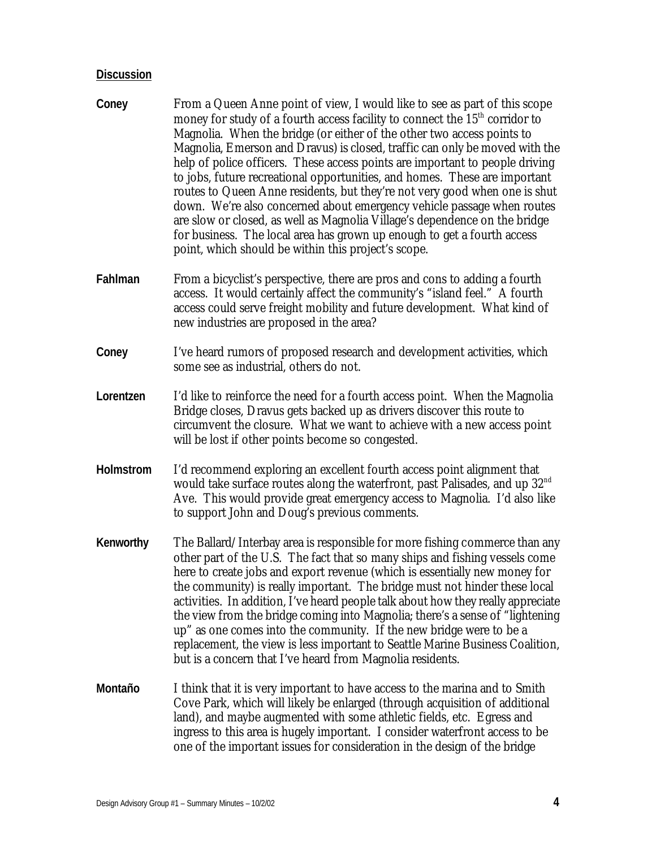- **Coney** From a Queen Anne point of view, I would like to see as part of this scope money for study of a fourth access facility to connect the  $15<sup>th</sup>$  corridor to Magnolia. When the bridge (or either of the other two access points to Magnolia, Emerson and Dravus) is closed, traffic can only be moved with the help of police officers. These access points are important to people driving to jobs, future recreational opportunities, and homes. These are important routes to Queen Anne residents, but they're not very good when one is shut down. We're also concerned about emergency vehicle passage when routes are slow or closed, as well as Magnolia Village's dependence on the bridge for business. The local area has grown up enough to get a fourth access point, which should be within this project's scope.
- **Fahlman** From a bicyclist's perspective, there are pros and cons to adding a fourth access. It would certainly affect the community's "island feel." A fourth access could serve freight mobility and future development. What kind of new industries are proposed in the area?
- **Coney** I've heard rumors of proposed research and development activities, which some see as industrial, others do not.
- **Lorentzen** I'd like to reinforce the need for a fourth access point. When the Magnolia Bridge closes, Dravus gets backed up as drivers discover this route to circumvent the closure. What we want to achieve with a new access point will be lost if other points become so congested.
- **Holmstrom** I'd recommend exploring an excellent fourth access point alignment that would take surface routes along the waterfront, past Palisades, and up 32<sup>nd</sup> Ave. This would provide great emergency access to Magnolia. I'd also like to support John and Doug's previous comments.
- **Kenworthy** The Ballard/Interbay area is responsible for more fishing commerce than any other part of the U.S. The fact that so many ships and fishing vessels come here to create jobs and export revenue (which is essentially new money for the community) is really important. The bridge must not hinder these local activities. In addition, I've heard people talk about how they really appreciate the view from the bridge coming into Magnolia; there's a sense of "lightening up" as one comes into the community. If the new bridge were to be a replacement, the view is less important to Seattle Marine Business Coalition, but is a concern that I've heard from Magnolia residents.
- **Montaño** I think that it is very important to have access to the marina and to Smith Cove Park, which will likely be enlarged (through acquisition of additional land), and maybe augmented with some athletic fields, etc. Egress and ingress to this area is hugely important. I consider waterfront access to be one of the important issues for consideration in the design of the bridge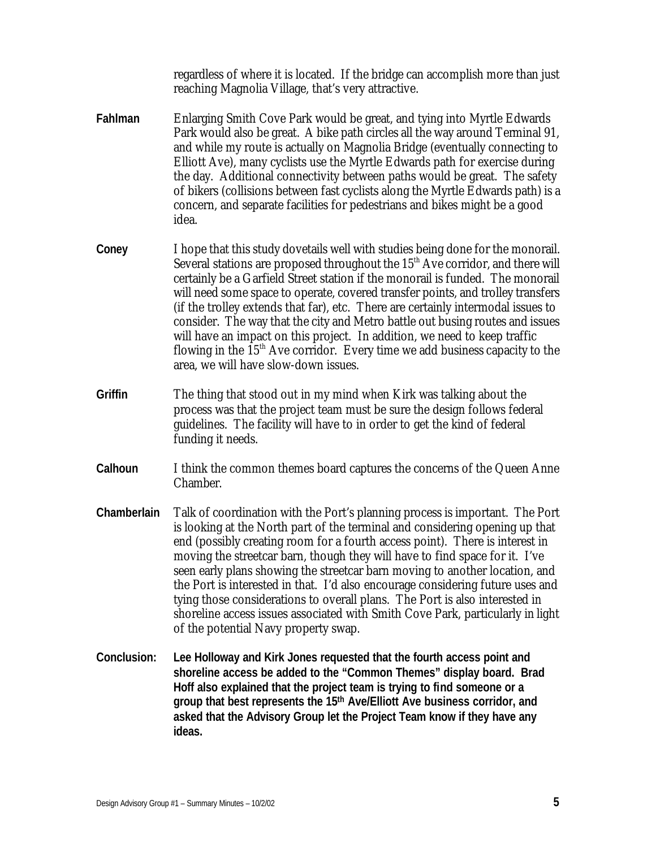regardless of where it is located. If the bridge can accomplish more than just reaching Magnolia Village, that's very attractive.

- **Fahlman** Enlarging Smith Cove Park would be great, and tying into Myrtle Edwards Park would also be great. A bike path circles all the way around Terminal 91, and while my route is actually on Magnolia Bridge (eventually connecting to Elliott Ave), many cyclists use the Myrtle Edwards path for exercise during the day. Additional connectivity between paths would be great. The safety of bikers (collisions between fast cyclists along the Myrtle Edwards path) is a concern, and separate facilities for pedestrians and bikes might be a good idea.
- **Coney** I hope that this study dovetails well with studies being done for the monorail. Several stations are proposed throughout the  $15<sup>th</sup>$  Ave corridor, and there will certainly be a Garfield Street station if the monorail is funded. The monorail will need some space to operate, covered transfer points, and trolley transfers (if the trolley extends that far), etc. There are certainly intermodal issues to consider. The way that the city and Metro battle out busing routes and issues will have an impact on this project. In addition, we need to keep traffic flowing in the  $15<sup>th</sup>$  Ave corridor. Every time we add business capacity to the area, we will have slow-down issues.
- **Griffin** The thing that stood out in my mind when Kirk was talking about the process was that the project team must be sure the design follows federal guidelines. The facility will have to in order to get the kind of federal funding it needs.
- **Calhoun** I think the common themes board captures the concerns of the Queen Anne Chamber.
- **Chamberlain** Talk of coordination with the Port's planning process is important. The Port is looking at the North part of the terminal and considering opening up that end (possibly creating room for a fourth access point). There is interest in moving the streetcar barn, though they will have to find space for it. I've seen early plans showing the streetcar barn moving to another location, and the Port is interested in that. I'd also encourage considering future uses and tying those considerations to overall plans. The Port is also interested in shoreline access issues associated with Smith Cove Park, particularly in light of the potential Navy property swap.
- **Conclusion: Lee Holloway and Kirk Jones requested that the fourth access point and shoreline access be added to the "Common Themes" display board. Brad Hoff also explained that the project team is trying to find someone or a group that best represents the 15th Ave/Elliott Ave business corridor, and asked that the Advisory Group let the Project Team know if they have any ideas.**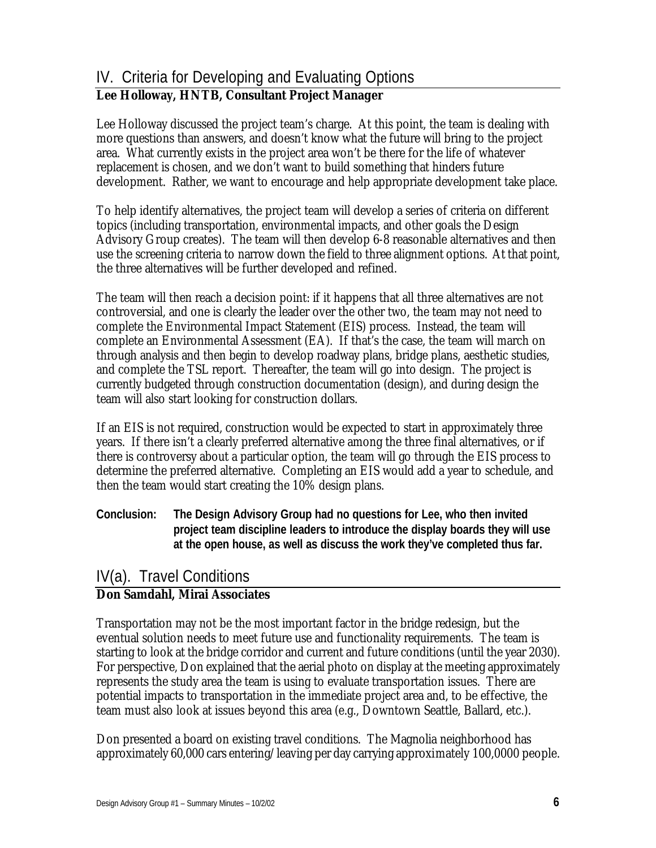## IV. Criteria for Developing and Evaluating Options

## **Lee Holloway, HNTB, Consultant Project Manager**

Lee Holloway discussed the project team's charge. At this point, the team is dealing with more questions than answers, and doesn't know what the future will bring to the project area. What currently exists in the project area won't be there for the life of whatever replacement is chosen, and we don't want to build something that hinders future development. Rather, we want to encourage and help appropriate development take place.

To help identify alternatives, the project team will develop a series of criteria on different topics (including transportation, environmental impacts, and other goals the Design Advisory Group creates). The team will then develop 6-8 reasonable alternatives and then use the screening criteria to narrow down the field to three alignment options. At that point, the three alternatives will be further developed and refined.

The team will then reach a decision point: if it happens that all three alternatives are not controversial, and one is clearly the leader over the other two, the team may not need to complete the Environmental Impact Statement (EIS) process. Instead, the team will complete an Environmental Assessment (EA). If that's the case, the team will march on through analysis and then begin to develop roadway plans, bridge plans, aesthetic studies, and complete the TSL report. Thereafter, the team will go into design. The project is currently budgeted through construction documentation (design), and during design the team will also start looking for construction dollars.

If an EIS is not required, construction would be expected to start in approximately three years. If there isn't a clearly preferred alternative among the three final alternatives, or if there is controversy about a particular option, the team will go through the EIS process to determine the preferred alternative. Completing an EIS would add a year to schedule, and then the team would start creating the 10% design plans.

**Conclusion: The Design Advisory Group had no questions for Lee, who then invited project team discipline leaders to introduce the display boards they will use at the open house, as well as discuss the work they've completed thus far.** 

## IV(a). Travel Conditions

## **Don Samdahl, Mirai Associates**

Transportation may not be the most important factor in the bridge redesign, but the eventual solution needs to meet future use and functionality requirements. The team is starting to look at the bridge corridor and current and future conditions (until the year 2030). For perspective, Don explained that the aerial photo on display at the meeting approximately represents the study area the team is using to evaluate transportation issues. There are potential impacts to transportation in the immediate project area and, to be effective, the team must also look at issues beyond this area (e.g., Downtown Seattle, Ballard, etc.).

Don presented a board on existing travel conditions. The Magnolia neighborhood has approximately 60,000 cars entering/leaving per day carrying approximately 100,0000 people.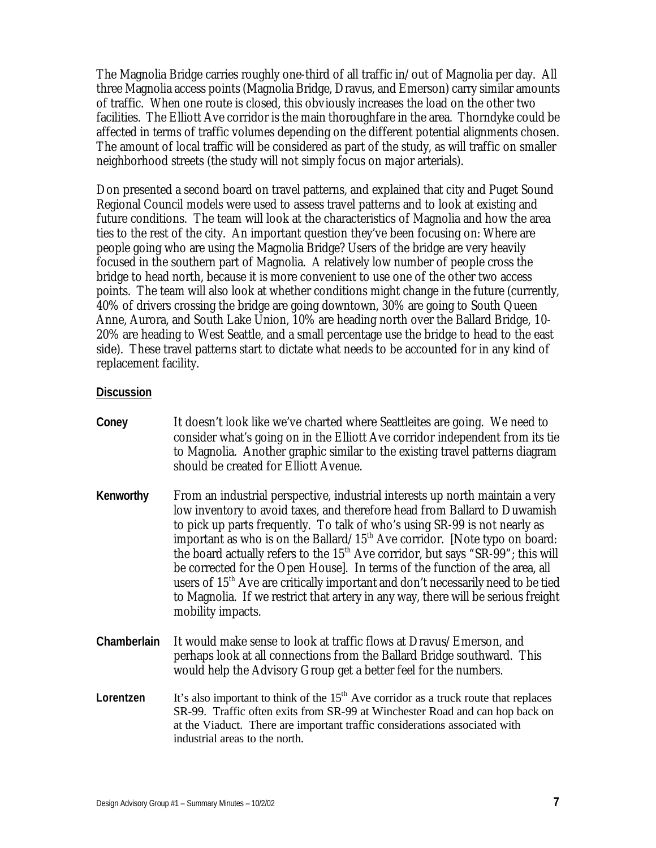The Magnolia Bridge carries roughly one-third of all traffic in/out of Magnolia per day. All three Magnolia access points (Magnolia Bridge, Dravus, and Emerson) carry similar amounts of traffic. When one route is closed, this obviously increases the load on the other two facilities. The Elliott Ave corridor is the main thoroughfare in the area. Thorndyke could be affected in terms of traffic volumes depending on the different potential alignments chosen. The amount of local traffic will be considered as part of the study, as will traffic on smaller neighborhood streets (the study will not simply focus on major arterials).

Don presented a second board on travel patterns, and explained that city and Puget Sound Regional Council models were used to assess travel patterns and to look at existing and future conditions. The team will look at the characteristics of Magnolia and how the area ties to the rest of the city. An important question they've been focusing on: Where are people going who are using the Magnolia Bridge? Users of the bridge are very heavily focused in the southern part of Magnolia. A relatively low number of people cross the bridge to head north, because it is more convenient to use one of the other two access points. The team will also look at whether conditions might change in the future (currently, 40% of drivers crossing the bridge are going downtown, 30% are going to South Queen Anne, Aurora, and South Lake Union, 10% are heading north over the Ballard Bridge, 10- 20% are heading to West Seattle, and a small percentage use the bridge to head to the east side). These travel patterns start to dictate what needs to be accounted for in any kind of replacement facility.

- **Coney** It doesn't look like we've charted where Seattleites are going. We need to consider what's going on in the Elliott Ave corridor independent from its tie to Magnolia. Another graphic similar to the existing travel patterns diagram should be created for Elliott Avenue.
- **Kenworthy** From an industrial perspective, industrial interests up north maintain a very low inventory to avoid taxes, and therefore head from Ballard to Duwamish to pick up parts frequently. To talk of who's using SR-99 is not nearly as important as who is on the Ballard/ $15<sup>th</sup>$  Ave corridor. [Note typo on board: the board actually refers to the  $15<sup>th</sup>$  Ave corridor, but says "SR-99"; this will be corrected for the Open House]. In terms of the function of the area, all users of 15<sup>th</sup> Ave are critically important and don't necessarily need to be tied to Magnolia. If we restrict that artery in any way, there will be serious freight mobility impacts.
- **Chamberlain** It would make sense to look at traffic flows at Dravus/Emerson, and perhaps look at all connections from the Ballard Bridge southward. This would help the Advisory Group get a better feel for the numbers.
- **Lorentzen** It's also important to think of the  $15<sup>th</sup>$  Ave corridor as a truck route that replaces SR-99. Traffic often exits from SR-99 at Winchester Road and can hop back on at the Viaduct. There are important traffic considerations associated with industrial areas to the north.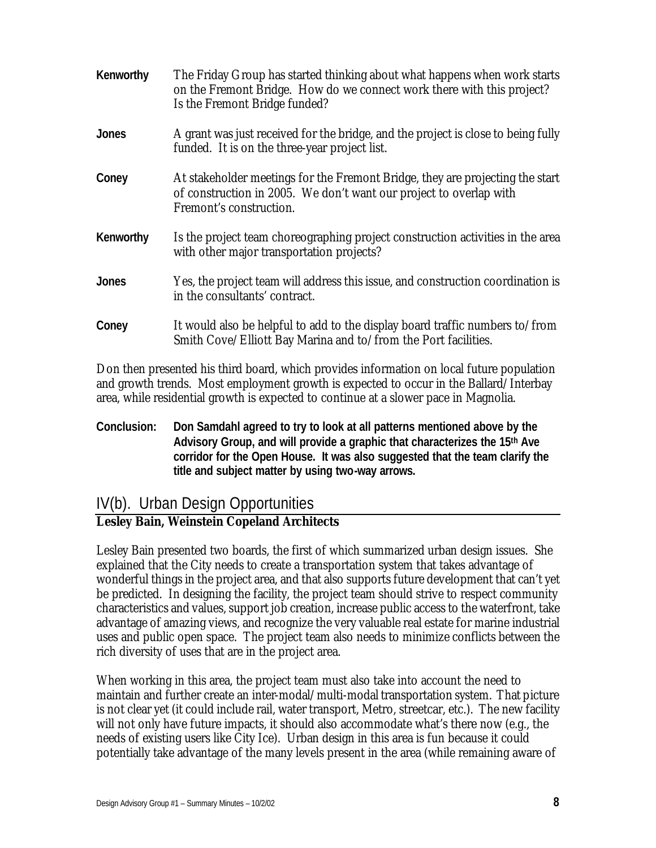| Kenworthy    | The Friday Group has started thinking about what happens when work starts<br>on the Fremont Bridge. How do we connect work there with this project?<br>Is the Fremont Bridge funded? |
|--------------|--------------------------------------------------------------------------------------------------------------------------------------------------------------------------------------|
| <b>Jones</b> | A grant was just received for the bridge, and the project is close to being fully<br>funded. It is on the three-year project list.                                                   |
| Coney        | At stakeholder meetings for the Fremont Bridge, they are projecting the start<br>of construction in 2005. We don't want our project to overlap with<br>Fremont's construction.       |
| Kenworthy    | Is the project team choreographing project construction activities in the area<br>with other major transportation projects?                                                          |
| Jones        | Yes, the project team will address this issue, and construction coordination is<br>in the consultants' contract.                                                                     |
| Coney        | It would also be helpful to add to the display board traffic numbers to/from<br>Smith Cove/Elliott Bay Marina and to/from the Port facilities.                                       |

Don then presented his third board, which provides information on local future population and growth trends. Most employment growth is expected to occur in the Ballard/Interbay area, while residential growth is expected to continue at a slower pace in Magnolia.

**Conclusion: Don Samdahl agreed to try to look at all patterns mentioned above by the Advisory Group, and will provide a graphic that characterizes the 15th Ave corridor for the Open House. It was also suggested that the team clarify the title and subject matter by using two-way arrows.** 

## IV(b). Urban Design Opportunities

## **Lesley Bain, Weinstein Copeland Architects**

Lesley Bain presented two boards, the first of which summarized urban design issues. She explained that the City needs to create a transportation system that takes advantage of wonderful things in the project area, and that also supports future development that can't yet be predicted. In designing the facility, the project team should strive to respect community characteristics and values, support job creation, increase public access to the waterfront, take advantage of amazing views, and recognize the very valuable real estate for marine industrial uses and public open space. The project team also needs to minimize conflicts between the rich diversity of uses that are in the project area.

When working in this area, the project team must also take into account the need to maintain and further create an inter-modal/multi-modal transportation system. That picture is not clear yet (it could include rail, water transport, Metro, streetcar, etc.). The new facility will not only have future impacts, it should also accommodate what's there now (e.g., the needs of existing users like City Ice). Urban design in this area is fun because it could potentially take advantage of the many levels present in the area (while remaining aware of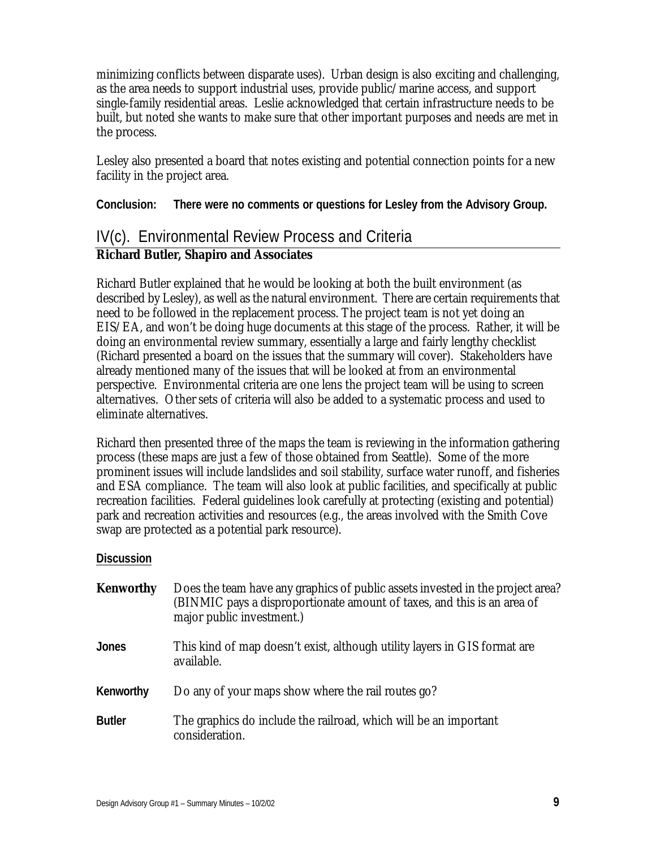minimizing conflicts between disparate uses). Urban design is also exciting and challenging, as the area needs to support industrial uses, provide public/marine access, and support single-family residential areas. Leslie acknowledged that certain infrastructure needs to be built, but noted she wants to make sure that other important purposes and needs are met in the process.

Lesley also presented a board that notes existing and potential connection points for a new facility in the project area.

**Conclusion: There were no comments or questions for Lesley from the Advisory Group.** 

# IV(c). Environmental Review Process and Criteria

## **Richard Butler, Shapiro and Associates**

Richard Butler explained that he would be looking at both the built environment (as described by Lesley), as well as the natural environment. There are certain requirements that need to be followed in the replacement process. The project team is not yet doing an EIS/EA, and won't be doing huge documents at this stage of the process. Rather, it will be doing an environmental review summary, essentially a large and fairly lengthy checklist (Richard presented a board on the issues that the summary will cover). Stakeholders have already mentioned many of the issues that will be looked at from an environmental perspective. Environmental criteria are one lens the project team will be using to screen alternatives. Other sets of criteria will also be added to a systematic process and used to eliminate alternatives.

Richard then presented three of the maps the team is reviewing in the information gathering process (these maps are just a few of those obtained from Seattle). Some of the more prominent issues will include landslides and soil stability, surface water runoff, and fisheries and ESA compliance. The team will also look at public facilities, and specifically at public recreation facilities. Federal guidelines look carefully at protecting (existing and potential) park and recreation activities and resources (e.g., the areas involved with the Smith Cove swap are protected as a potential park resource).

| Kenworthy     | Does the team have any graphics of public assets invested in the project area?<br>(BINMIC pays a disproportionate amount of taxes, and this is an area of<br>major public investment.) |
|---------------|----------------------------------------------------------------------------------------------------------------------------------------------------------------------------------------|
| Jones         | This kind of map doesn't exist, although utility layers in GIS format are<br>available.                                                                                                |
| Kenworthy     | Do any of your maps show where the rail routes go?                                                                                                                                     |
| <b>Butler</b> | The graphics do include the railroad, which will be an important<br>consideration.                                                                                                     |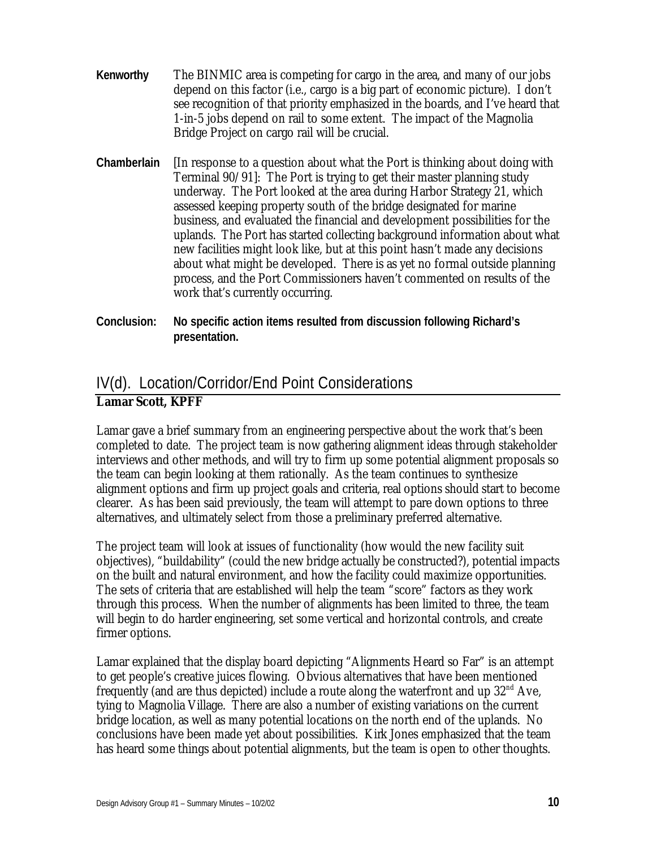- **Kenworthy** The BINMIC area is competing for cargo in the area, and many of our jobs depend on this factor (i.e., cargo is a big part of economic picture). I don't see recognition of that priority emphasized in the boards, and I've heard that 1-in-5 jobs depend on rail to some extent. The impact of the Magnolia Bridge Project on cargo rail will be crucial.
- **Chamberlain** [In response to a question about what the Port is thinking about doing with Terminal 90/91]: The Port is trying to get their master planning study underway. The Port looked at the area during Harbor Strategy 21, which assessed keeping property south of the bridge designated for marine business, and evaluated the financial and development possibilities for the uplands. The Port has started collecting background information about what new facilities might look like, but at this point hasn't made any decisions about what might be developed. There is as yet no formal outside planning process, and the Port Commissioners haven't commented on results of the work that's currently occurring.
- **Conclusion: No specific action items resulted from discussion following Richard's presentation.**

# IV(d). Location/Corridor/End Point Considerations

### **Lamar Scott, KPFF**

Lamar gave a brief summary from an engineering perspective about the work that's been completed to date. The project team is now gathering alignment ideas through stakeholder interviews and other methods, and will try to firm up some potential alignment proposals so the team can begin looking at them rationally. As the team continues to synthesize alignment options and firm up project goals and criteria, real options should start to become clearer. As has been said previously, the team will attempt to pare down options to three alternatives, and ultimately select from those a preliminary preferred alternative.

The project team will look at issues of functionality (how would the new facility suit objectives), "buildability" (could the new bridge actually be constructed?), potential impacts on the built and natural environment, and how the facility could maximize opportunities. The sets of criteria that are established will help the team "score" factors as they work through this process. When the number of alignments has been limited to three, the team will begin to do harder engineering, set some vertical and horizontal controls, and create firmer options.

Lamar explained that the display board depicting "Alignments Heard so Far" is an attempt to get people's creative juices flowing. Obvious alternatives that have been mentioned frequently (and are thus depicted) include a route along the waterfront and up  $32<sup>nd</sup>$  Ave, tying to Magnolia Village. There are also a number of existing variations on the current bridge location, as well as many potential locations on the north end of the uplands. No conclusions have been made yet about possibilities. Kirk Jones emphasized that the team has heard some things about potential alignments, but the team is open to other thoughts.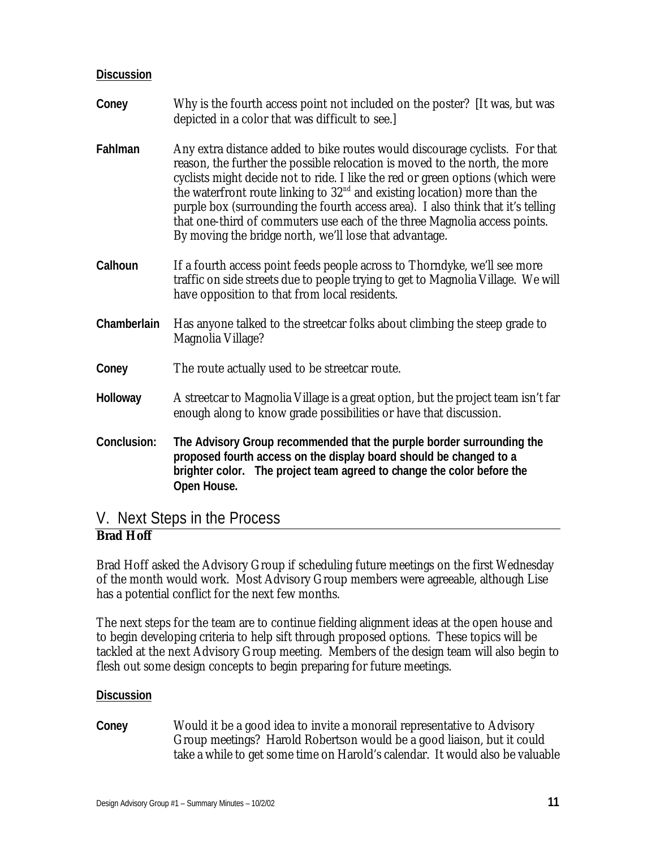#### **Discussion**

| Coney       | Why is the fourth access point not included on the poster? [It was, but was<br>depicted in a color that was difficult to see.]                                                                                                                                                                                                                                                                                                                                                                                                                        |
|-------------|-------------------------------------------------------------------------------------------------------------------------------------------------------------------------------------------------------------------------------------------------------------------------------------------------------------------------------------------------------------------------------------------------------------------------------------------------------------------------------------------------------------------------------------------------------|
| Fahlman     | Any extra distance added to bike routes would discourage cyclists. For that<br>reason, the further the possible relocation is moved to the north, the more<br>cyclists might decide not to ride. I like the red or green options (which were<br>the waterfront route linking to $32nd$ and existing location) more than the<br>purple box (surrounding the fourth access area). I also think that it's telling<br>that one-third of commuters use each of the three Magnolia access points.<br>By moving the bridge north, we'll lose that advantage. |
| Calhoun     | If a fourth access point feeds people across to Thorndyke, we'll see more<br>traffic on side streets due to people trying to get to Magnolia Village. We will<br>have opposition to that from local residents.                                                                                                                                                                                                                                                                                                                                        |
| Chamberlain | Has anyone talked to the streetcar folks about climbing the steep grade to<br>Magnolia Village?                                                                                                                                                                                                                                                                                                                                                                                                                                                       |
| Coney       | The route actually used to be street car route.                                                                                                                                                                                                                                                                                                                                                                                                                                                                                                       |
| Holloway    | A streetcar to Magnolia Village is a great option, but the project team isn't far<br>enough along to know grade possibilities or have that discussion.                                                                                                                                                                                                                                                                                                                                                                                                |
| Conclusion: | The Advisory Group recommended that the purple border surrounding the<br>proposed fourth access on the display board should be changed to a<br>brighter color. The project team agreed to change the color before the<br>Open House.                                                                                                                                                                                                                                                                                                                  |

## V. Next Steps in the Process

## **Brad Hoff**

Brad Hoff asked the Advisory Group if scheduling future meetings on the first Wednesday of the month would work. Most Advisory Group members were agreeable, although Lise has a potential conflict for the next few months.

The next steps for the team are to continue fielding alignment ideas at the open house and to begin developing criteria to help sift through proposed options. These topics will be tackled at the next Advisory Group meeting. Members of the design team will also begin to flesh out some design concepts to begin preparing for future meetings.

#### **Discussion**

**Coney** Would it be a good idea to invite a monorail representative to Advisory Group meetings? Harold Robertson would be a good liaison, but it could take a while to get some time on Harold's calendar. It would also be valuable